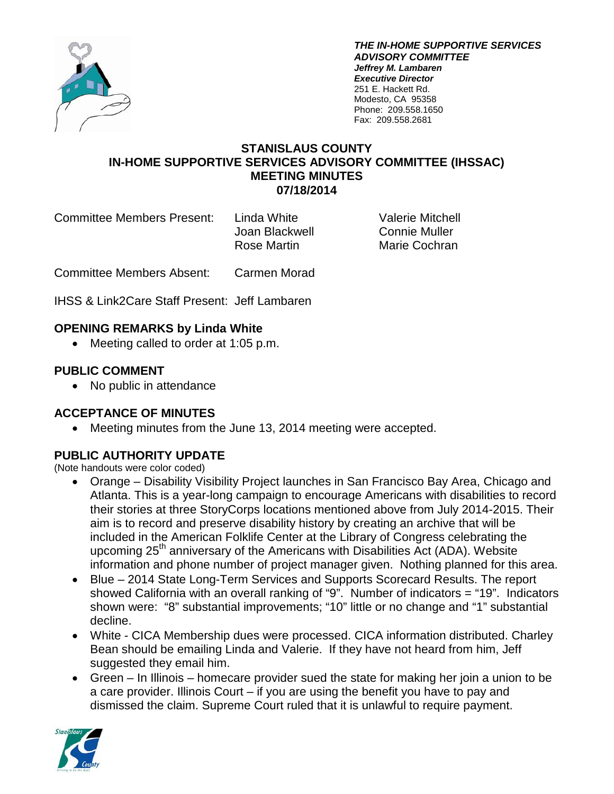

*THE IN-HOME SUPPORTIVE SERVICES ADVISORY COMMITTEE Jeffrey M. Lambaren Executive Director* 251 E. Hackett Rd. Modesto, CA 95358 Phone: 209.558.1650 Fax: 209.558.2681

#### **STANISLAUS COUNTY IN-HOME SUPPORTIVE SERVICES ADVISORY COMMITTEE (IHSSAC) MEETING MINUTES 07/18/2014**

Committee Members Present: Linda White Valerie Mitchell

Joan Blackwell Connie Muller

Rose Martin Marie Cochran

Committee Members Absent: Carmen Morad

IHSS & Link2Care Staff Present: Jeff Lambaren

### **OPENING REMARKS by Linda White**

• Meeting called to order at 1:05 p.m.

### **PUBLIC COMMENT**

• No public in attendance

### **ACCEPTANCE OF MINUTES**

• Meeting minutes from the June 13, 2014 meeting were accepted.

## **PUBLIC AUTHORITY UPDATE**

(Note handouts were color coded)

- Orange Disability Visibility Project launches in San Francisco Bay Area, Chicago and Atlanta. This is a year-long campaign to encourage Americans with disabilities to record their stories at three StoryCorps locations mentioned above from July 2014-2015. Their aim is to record and preserve disability history by creating an archive that will be included in the American Folklife Center at the Library of Congress celebrating the upcoming  $25<sup>th</sup>$  anniversary of the Americans with Disabilities Act (ADA). Website information and phone number of project manager given. Nothing planned for this area.
- Blue 2014 State Long-Term Services and Supports Scorecard Results. The report showed California with an overall ranking of "9". Number of indicators = "19". Indicators shown were: "8" substantial improvements; "10" little or no change and "1" substantial decline.
- White CICA Membership dues were processed. CICA information distributed. Charley Bean should be emailing Linda and Valerie. If they have not heard from him, Jeff suggested they email him.
- Green In Illinois homecare provider sued the state for making her join a union to be a care provider. Illinois Court – if you are using the benefit you have to pay and dismissed the claim. Supreme Court ruled that it is unlawful to require payment.

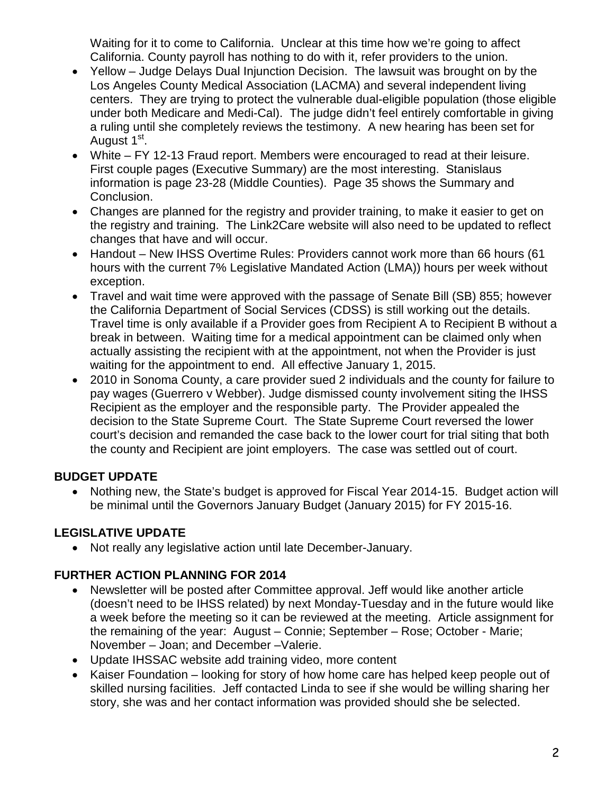Waiting for it to come to California. Unclear at this time how we're going to affect California. County payroll has nothing to do with it, refer providers to the union.

- Yellow Judge Delays Dual Injunction Decision. The lawsuit was brought on by the Los Angeles County Medical Association (LACMA) and several independent living centers. They are trying to protect the vulnerable dual-eligible population (those eligible under both Medicare and Medi-Cal). The judge didn't feel entirely comfortable in giving a ruling until she completely reviews the testimony. A new hearing has been set for August 1<sup>st</sup>.
- White FY 12-13 Fraud report. Members were encouraged to read at their leisure. First couple pages (Executive Summary) are the most interesting. Stanislaus information is page 23-28 (Middle Counties). Page 35 shows the Summary and Conclusion.
- Changes are planned for the registry and provider training, to make it easier to get on the registry and training. The Link2Care website will also need to be updated to reflect changes that have and will occur.
- Handout New IHSS Overtime Rules: Providers cannot work more than 66 hours (61 hours with the current 7% Legislative Mandated Action (LMA)) hours per week without exception.
- Travel and wait time were approved with the passage of Senate Bill (SB) 855; however the California Department of Social Services (CDSS) is still working out the details. Travel time is only available if a Provider goes from Recipient A to Recipient B without a break in between. Waiting time for a medical appointment can be claimed only when actually assisting the recipient with at the appointment, not when the Provider is just waiting for the appointment to end. All effective January 1, 2015.
- 2010 in Sonoma County, a care provider sued 2 individuals and the county for failure to pay wages (Guerrero v Webber). Judge dismissed county involvement siting the IHSS Recipient as the employer and the responsible party. The Provider appealed the decision to the State Supreme Court. The State Supreme Court reversed the lower court's decision and remanded the case back to the lower court for trial siting that both the county and Recipient are joint employers. The case was settled out of court.

## **BUDGET UPDATE**

• Nothing new, the State's budget is approved for Fiscal Year 2014-15. Budget action will be minimal until the Governors January Budget (January 2015) for FY 2015-16.

# **LEGISLATIVE UPDATE**

• Not really any legislative action until late December-January.

# **FURTHER ACTION PLANNING FOR 2014**

- Newsletter will be posted after Committee approval. Jeff would like another article (doesn't need to be IHSS related) by next Monday-Tuesday and in the future would like a week before the meeting so it can be reviewed at the meeting. Article assignment for the remaining of the year: August – Connie; September – Rose; October - Marie; November – Joan; and December –Valerie.
- Update IHSSAC website add training video, more content
- Kaiser Foundation looking for story of how home care has helped keep people out of skilled nursing facilities. Jeff contacted Linda to see if she would be willing sharing her story, she was and her contact information was provided should she be selected.